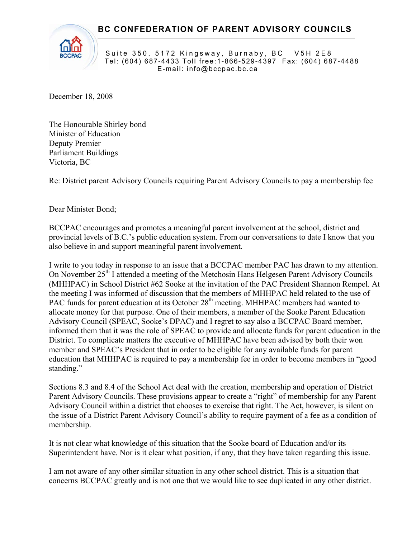$\overline{a}$ 



Suite 350, 5172 Kingsway, Burnaby, BC V5H 2E8 Tel: (604) 687-4433 Toll free:1-866-529-4397 Fax: (604) 687-4488 E-mail: info@bccpac.bc.ca

December 18, 2008

The Honourable Shirley bond Minister of Education Deputy Premier Parliament Buildings Victoria, BC

Re: District parent Advisory Councils requiring Parent Advisory Councils to pay a membership fee

Dear Minister Bond;

BCCPAC encourages and promotes a meaningful parent involvement at the school, district and provincial levels of B.C.'s public education system. From our conversations to date I know that you also believe in and support meaningful parent involvement.

I write to you today in response to an issue that a BCCPAC member PAC has drawn to my attention. On November 25<sup>th</sup> I attended a meeting of the Metchosin Hans Helgesen Parent Advisory Councils (MHHPAC) in School District #62 Sooke at the invitation of the PAC President Shannon Rempel. At the meeting I was informed of discussion that the members of MHHPAC held related to the use of PAC funds for parent education at its October 28<sup>th</sup> meeting. MHHPAC members had wanted to allocate money for that purpose. One of their members, a member of the Sooke Parent Education Advisory Council (SPEAC, Sooke's DPAC) and I regret to say also a BCCPAC Board member, informed them that it was the role of SPEAC to provide and allocate funds for parent education in the District. To complicate matters the executive of MHHPAC have been advised by both their won member and SPEAC's President that in order to be eligible for any available funds for parent education that MHHPAC is required to pay a membership fee in order to become members in "good standing."

Sections 8.3 and 8.4 of the School Act deal with the creation, membership and operation of District Parent Advisory Councils. These provisions appear to create a "right" of membership for any Parent Advisory Council within a district that chooses to exercise that right. The Act, however, is silent on the issue of a District Parent Advisory Council's ability to require payment of a fee as a condition of membership.

It is not clear what knowledge of this situation that the Sooke board of Education and/or its Superintendent have. Nor is it clear what position, if any, that they have taken regarding this issue.

I am not aware of any other similar situation in any other school district. This is a situation that concerns BCCPAC greatly and is not one that we would like to see duplicated in any other district.